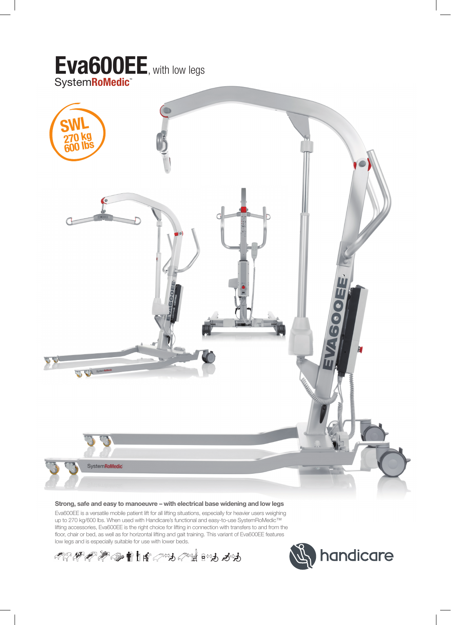

#### **Strong, safe and easy to manoeuvre – with electrical base widening and low legs**

Eva600EE is a versatile mobile patient lift for all lifting situations, especially for heavier users weighing up to 270 kg/600 lbs. When used with Handicare's functional and easy-to-use SystemRoMedic™ lifting accessories, Eva600EE is the right choice for lifting in connection with transfers to and from the floor, chair or bed, as well as for horizontal lifting and gait training. This variant of Eva600EE features low legs and is especially suitable for use with lower beds.